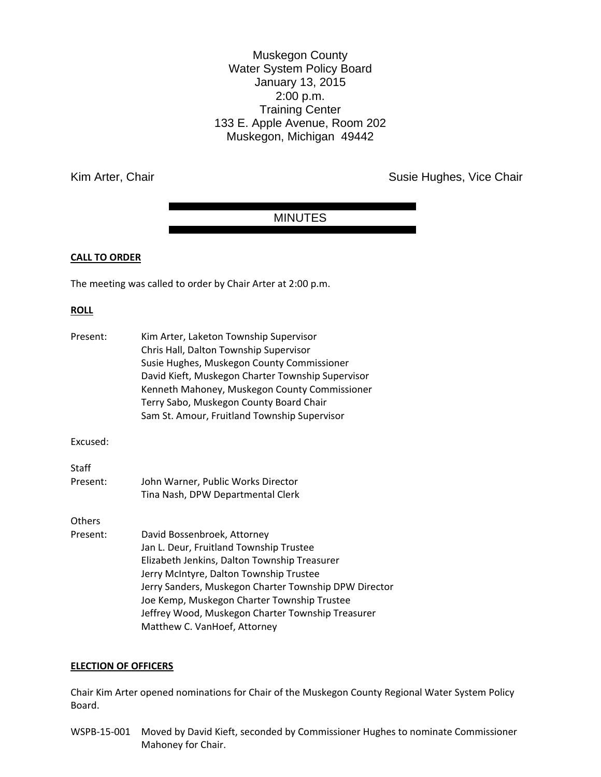Muskegon County Water System Policy Board January 13, 2015 2:00 p.m. Training Center 133 E. Apple Avenue, Room 202 Muskegon, Michigan 49442

Kim Arter, Chair **Susie Hughes, Vice Chair** Susie Hughes, Vice Chair

# MINUTES

# **CALL TO ORDER**

The meeting was called to order by Chair Arter at 2:00 p.m.

# **ROLL**

| Present: | Kim Arter, Laketon Township Supervisor<br>Chris Hall, Dalton Township Supervisor<br>Susie Hughes, Muskegon County Commissioner<br>David Kieft, Muskegon Charter Township Supervisor<br>Kenneth Mahoney, Muskegon County Commissioner<br>Terry Sabo, Muskegon County Board Chair<br>Sam St. Amour, Fruitland Township Supervisor |
|----------|---------------------------------------------------------------------------------------------------------------------------------------------------------------------------------------------------------------------------------------------------------------------------------------------------------------------------------|
| Excused: |                                                                                                                                                                                                                                                                                                                                 |
| Staff    |                                                                                                                                                                                                                                                                                                                                 |
| Present: | John Warner, Public Works Director                                                                                                                                                                                                                                                                                              |
|          | Tina Nash, DPW Departmental Clerk                                                                                                                                                                                                                                                                                               |
| Others   |                                                                                                                                                                                                                                                                                                                                 |
| Present: | David Bossenbroek, Attorney                                                                                                                                                                                                                                                                                                     |
|          | Jan L. Deur, Fruitland Township Trustee                                                                                                                                                                                                                                                                                         |
|          | Elizabeth Jenkins, Dalton Township Treasurer                                                                                                                                                                                                                                                                                    |
|          | Jerry McIntyre, Dalton Township Trustee                                                                                                                                                                                                                                                                                         |
|          | Jerry Sanders, Muskegon Charter Township DPW Director                                                                                                                                                                                                                                                                           |
|          | Joe Kemp, Muskegon Charter Township Trustee                                                                                                                                                                                                                                                                                     |
|          | Jeffrey Wood, Muskegon Charter Township Treasurer                                                                                                                                                                                                                                                                               |
|          | Matthew C. VanHoef, Attorney                                                                                                                                                                                                                                                                                                    |

# **ELECTION OF OFFICERS**

Chair Kim Arter opened nominations for Chair of the Muskegon County Regional Water System Policy Board.

WSPB-15-001 Moved by David Kieft, seconded by Commissioner Hughes to nominate Commissioner Mahoney for Chair.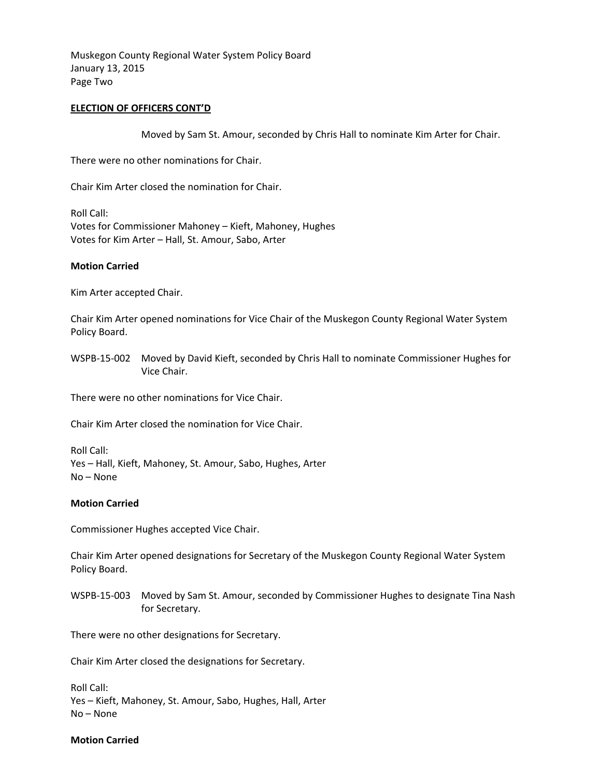Muskegon County Regional Water System Policy Board January 13, 2015 Page Two

# **ELECTION OF OFFICERS CONT'D**

Moved by Sam St. Amour, seconded by Chris Hall to nominate Kim Arter for Chair.

There were no other nominations for Chair.

Chair Kim Arter closed the nomination for Chair.

Roll Call: Votes for Commissioner Mahoney – Kieft, Mahoney, Hughes Votes for Kim Arter – Hall, St. Amour, Sabo, Arter

# **Motion Carried**

Kim Arter accepted Chair.

Chair Kim Arter opened nominations for Vice Chair of the Muskegon County Regional Water System Policy Board.

WSPB-15-002 Moved by David Kieft, seconded by Chris Hall to nominate Commissioner Hughes for Vice Chair.

There were no other nominations for Vice Chair.

Chair Kim Arter closed the nomination for Vice Chair.

Roll Call: Yes – Hall, Kieft, Mahoney, St. Amour, Sabo, Hughes, Arter No – None

# **Motion Carried**

Commissioner Hughes accepted Vice Chair.

Chair Kim Arter opened designations for Secretary of the Muskegon County Regional Water System Policy Board.

WSPB-15-003 Moved by Sam St. Amour, seconded by Commissioner Hughes to designate Tina Nash for Secretary.

There were no other designations for Secretary.

Chair Kim Arter closed the designations for Secretary.

Roll Call: Yes – Kieft, Mahoney, St. Amour, Sabo, Hughes, Hall, Arter No – None

#### **Motion Carried**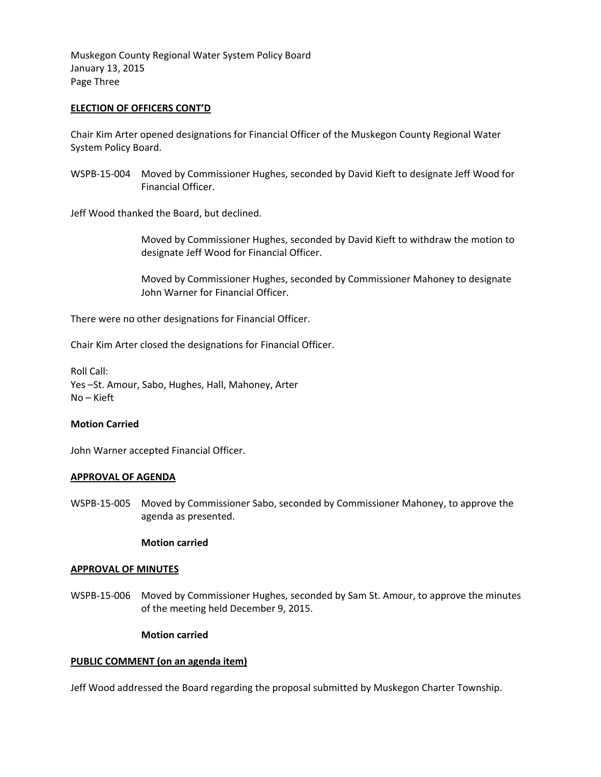Muskegon County Regional Water System Policy Board January 13, 2015 Page Three

# **ELECTION OF OFFICERS CONT'D**

Chair Kim Arter opened designations for Financial Officer of the Muskegon County Regional Water System Policy Board.

WSPB-15-004 Moved by Commissioner Hughes, seconded by David Kieft to designate Jeff Wood for Financial Officer.

Jeff Wood thanked the Board, but declined.

Moved by Commissioner Hughes, seconded by David Kieft to withdraw the motion to designate Jeff Wood for Financial Officer.

 Moved by Commissioner Hughes, seconded by Commissioner Mahoney to designate John Warner for Financial Officer.

There were no other designations for Financial Officer.

Chair Kim Arter closed the designations for Financial Officer.

Roll Call: Yes –St. Amour, Sabo, Hughes, Hall, Mahoney, Arter No – Kieft

# **Motion Carried**

John Warner accepted Financial Officer.

# **APPROVAL OF AGENDA**

WSPB-15-005 Moved by Commissioner Sabo, seconded by Commissioner Mahoney, to approve the agenda as presented.

# **Motion carried**

# **APPROVAL OF MINUTES**

WSPB-15-006 Moved by Commissioner Hughes, seconded by Sam St. Amour, to approve the minutes of the meeting held December 9, 2015.

# **Motion carried**

# **PUBLIC COMMENT (on an agenda item)**

Jeff Wood addressed the Board regarding the proposal submitted by Muskegon Charter Township.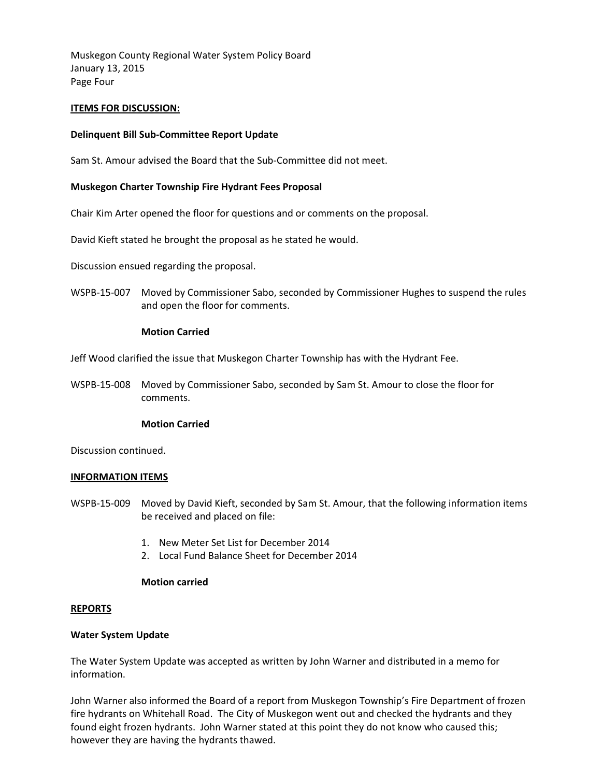Muskegon County Regional Water System Policy Board January 13, 2015 Page Four

# **ITEMS FOR DISCUSSION:**

# **Delinquent Bill Sub-Committee Report Update**

Sam St. Amour advised the Board that the Sub-Committee did not meet.

# **Muskegon Charter Township Fire Hydrant Fees Proposal**

Chair Kim Arter opened the floor for questions and or comments on the proposal.

David Kieft stated he brought the proposal as he stated he would.

Discussion ensued regarding the proposal.

WSPB-15-007 Moved by Commissioner Sabo, seconded by Commissioner Hughes to suspend the rules and open the floor for comments.

# **Motion Carried**

Jeff Wood clarified the issue that Muskegon Charter Township has with the Hydrant Fee.

WSPB-15-008 Moved by Commissioner Sabo, seconded by Sam St. Amour to close the floor for comments.

# **Motion Carried**

Discussion continued.

# **INFORMATION ITEMS**

- WSPB-15-009 Moved by David Kieft, seconded by Sam St. Amour, that the following information items be received and placed on file:
	- 1. New Meter Set List for December 2014
	- 2. Local Fund Balance Sheet for December 2014

# **Motion carried**

# **REPORTS**

# **Water System Update**

The Water System Update was accepted as written by John Warner and distributed in a memo for information.

John Warner also informed the Board of a report from Muskegon Township's Fire Department of frozen fire hydrants on Whitehall Road. The City of Muskegon went out and checked the hydrants and they found eight frozen hydrants. John Warner stated at this point they do not know who caused this; however they are having the hydrants thawed.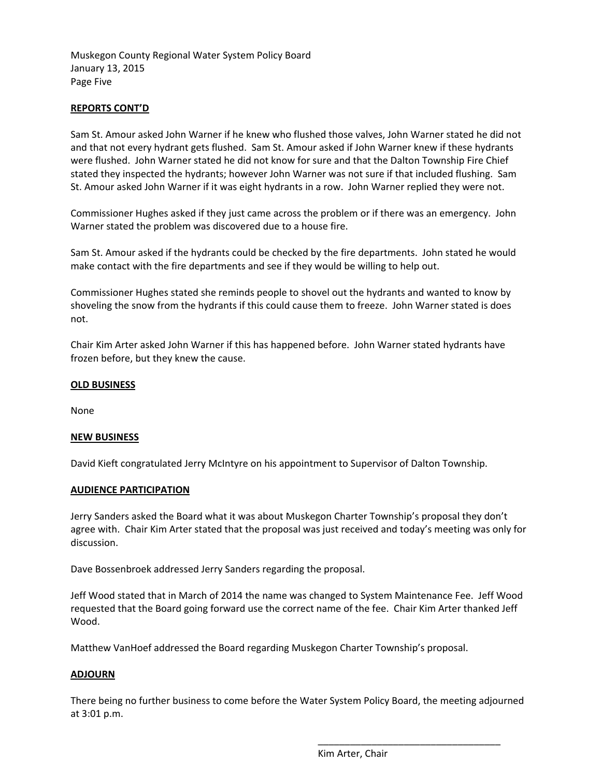Muskegon County Regional Water System Policy Board January 13, 2015 Page Five

# **REPORTS CONT'D**

Sam St. Amour asked John Warner if he knew who flushed those valves, John Warner stated he did not and that not every hydrant gets flushed. Sam St. Amour asked if John Warner knew if these hydrants were flushed. John Warner stated he did not know for sure and that the Dalton Township Fire Chief stated they inspected the hydrants; however John Warner was not sure if that included flushing. Sam St. Amour asked John Warner if it was eight hydrants in a row. John Warner replied they were not.

Commissioner Hughes asked if they just came across the problem or if there was an emergency. John Warner stated the problem was discovered due to a house fire.

Sam St. Amour asked if the hydrants could be checked by the fire departments. John stated he would make contact with the fire departments and see if they would be willing to help out.

Commissioner Hughes stated she reminds people to shovel out the hydrants and wanted to know by shoveling the snow from the hydrants if this could cause them to freeze. John Warner stated is does not.

Chair Kim Arter asked John Warner if this has happened before. John Warner stated hydrants have frozen before, but they knew the cause.

# **OLD BUSINESS**

None

# **NEW BUSINESS**

David Kieft congratulated Jerry McIntyre on his appointment to Supervisor of Dalton Township.

# **AUDIENCE PARTICIPATION**

Jerry Sanders asked the Board what it was about Muskegon Charter Township's proposal they don't agree with. Chair Kim Arter stated that the proposal was just received and today's meeting was only for discussion.

Dave Bossenbroek addressed Jerry Sanders regarding the proposal.

Jeff Wood stated that in March of 2014 the name was changed to System Maintenance Fee. Jeff Wood requested that the Board going forward use the correct name of the fee. Chair Kim Arter thanked Jeff Wood.

Matthew VanHoef addressed the Board regarding Muskegon Charter Township's proposal.

# **ADJOURN**

There being no further business to come before the Water System Policy Board, the meeting adjourned at 3:01 p.m.

Kim Arter, Chair

\_\_\_\_\_\_\_\_\_\_\_\_\_\_\_\_\_\_\_\_\_\_\_\_\_\_\_\_\_\_\_\_\_\_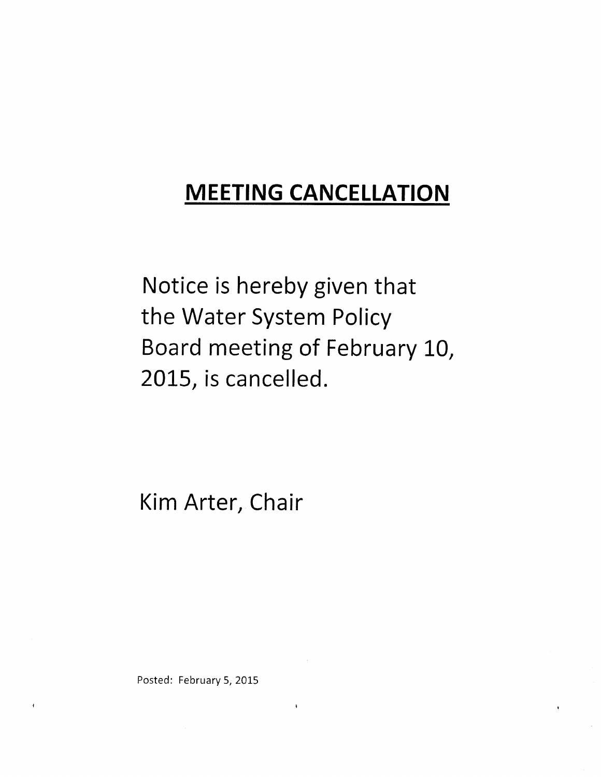Notice is hereby given that the Water System Policy Board meeting of February 10, 2015, is cancelled.

Kim Arter, Chair

Posted: February 5, 2015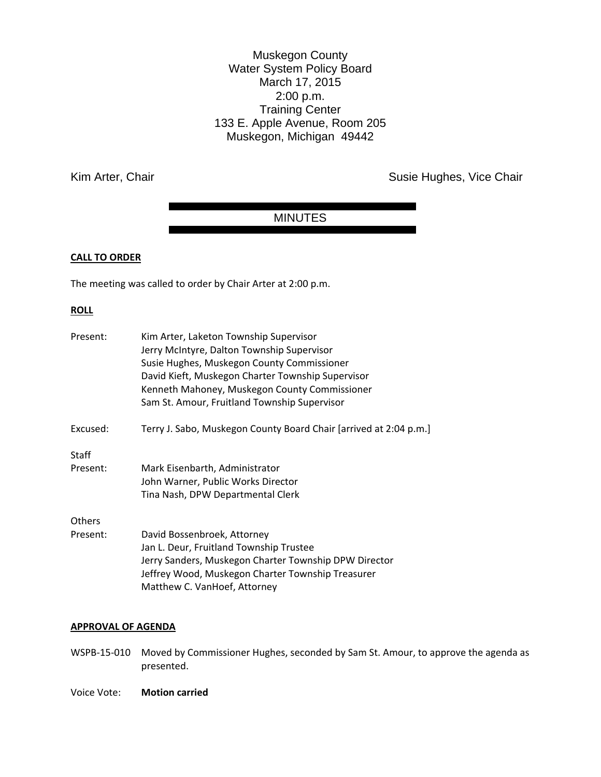Muskegon County Water System Policy Board March 17, 2015 2:00 p.m. Training Center 133 E. Apple Avenue, Room 205 Muskegon, Michigan 49442

Kim Arter, Chair **Susie Hughes, Vice Chair** Susie Hughes, Vice Chair

# MINUTES

# **CALL TO ORDER**

The meeting was called to order by Chair Arter at 2:00 p.m.

## **ROLL**

| Kim Arter, Laketon Township Supervisor<br>Jerry McIntyre, Dalton Township Supervisor<br>Susie Hughes, Muskegon County Commissioner<br>David Kieft, Muskegon Charter Township Supervisor<br>Kenneth Mahoney, Muskegon County Commissioner<br>Sam St. Amour, Fruitland Township Supervisor |
|------------------------------------------------------------------------------------------------------------------------------------------------------------------------------------------------------------------------------------------------------------------------------------------|
| Terry J. Sabo, Muskegon County Board Chair [arrived at 2:04 p.m.]                                                                                                                                                                                                                        |
|                                                                                                                                                                                                                                                                                          |
| Mark Eisenbarth, Administrator                                                                                                                                                                                                                                                           |
| John Warner, Public Works Director<br>Tina Nash, DPW Departmental Clerk                                                                                                                                                                                                                  |
|                                                                                                                                                                                                                                                                                          |
| David Bossenbroek, Attorney<br>Jan L. Deur, Fruitland Township Trustee<br>Jerry Sanders, Muskegon Charter Township DPW Director<br>Jeffrey Wood, Muskegon Charter Township Treasurer<br>Matthew C. VanHoef, Attorney                                                                     |
|                                                                                                                                                                                                                                                                                          |

# **APPROVAL OF AGENDA**

- WSPB-15-010 Moved by Commissioner Hughes, seconded by Sam St. Amour, to approve the agenda as presented.
- Voice Vote: **Motion carried**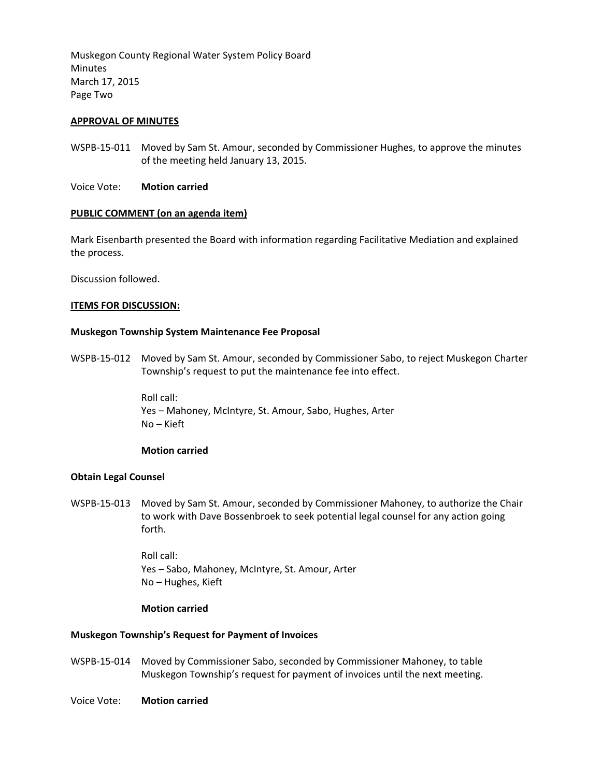Muskegon County Regional Water System Policy Board Minutes March 17, 2015 Page Two

# **APPROVAL OF MINUTES**

- WSPB-15-011 Moved by Sam St. Amour, seconded by Commissioner Hughes, to approve the minutes of the meeting held January 13, 2015.
- Voice Vote: **Motion carried**

# **PUBLIC COMMENT (on an agenda item)**

Mark Eisenbarth presented the Board with information regarding Facilitative Mediation and explained the process.

Discussion followed.

## **ITEMS FOR DISCUSSION:**

## **Muskegon Township System Maintenance Fee Proposal**

WSPB-15-012 Moved by Sam St. Amour, seconded by Commissioner Sabo, to reject Muskegon Charter Township's request to put the maintenance fee into effect.

> Roll call: Yes – Mahoney, McIntyre, St. Amour, Sabo, Hughes, Arter No – Kieft

# **Motion carried**

# **Obtain Legal Counsel**

WSPB-15-013 Moved by Sam St. Amour, seconded by Commissioner Mahoney, to authorize the Chair to work with Dave Bossenbroek to seek potential legal counsel for any action going forth.

> Roll call: Yes – Sabo, Mahoney, McIntyre, St. Amour, Arter No – Hughes, Kieft

#### **Motion carried**

# **Muskegon Township's Request for Payment of Invoices**

WSPB-15-014 Moved by Commissioner Sabo, seconded by Commissioner Mahoney, to table Muskegon Township's request for payment of invoices until the next meeting.

Voice Vote: **Motion carried**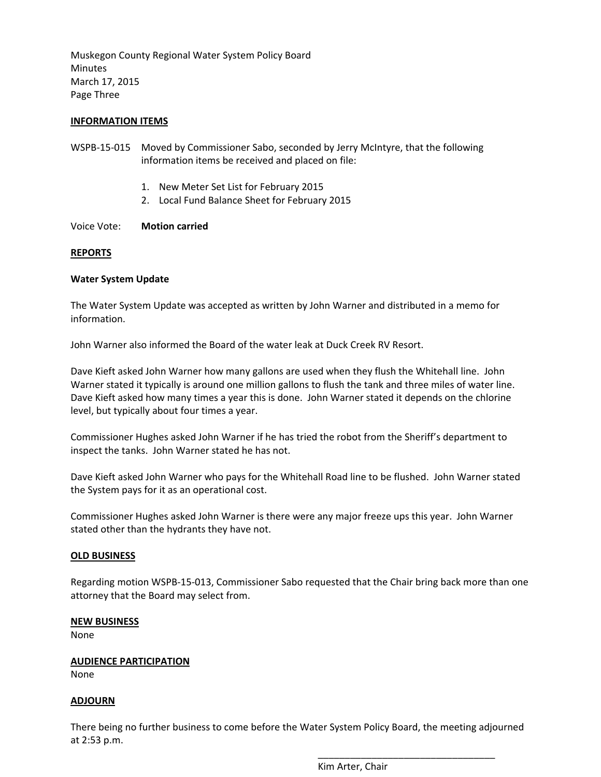Muskegon County Regional Water System Policy Board Minutes March 17, 2015 Page Three

# **INFORMATION ITEMS**

- WSPB-15-015 Moved by Commissioner Sabo, seconded by Jerry McIntyre, that the following information items be received and placed on file:
	- 1. New Meter Set List for February 2015
	- 2. Local Fund Balance Sheet for February 2015

Voice Vote: **Motion carried** 

## **REPORTS**

## **Water System Update**

The Water System Update was accepted as written by John Warner and distributed in a memo for information.

John Warner also informed the Board of the water leak at Duck Creek RV Resort.

Dave Kieft asked John Warner how many gallons are used when they flush the Whitehall line. John Warner stated it typically is around one million gallons to flush the tank and three miles of water line. Dave Kieft asked how many times a year this is done. John Warner stated it depends on the chlorine level, but typically about four times a year.

Commissioner Hughes asked John Warner if he has tried the robot from the Sheriff's department to inspect the tanks. John Warner stated he has not.

Dave Kieft asked John Warner who pays for the Whitehall Road line to be flushed. John Warner stated the System pays for it as an operational cost.

Commissioner Hughes asked John Warner is there were any major freeze ups this year. John Warner stated other than the hydrants they have not.

#### **OLD BUSINESS**

Regarding motion WSPB-15-013, Commissioner Sabo requested that the Chair bring back more than one attorney that the Board may select from.

#### **NEW BUSINESS**

None

# **AUDIENCE PARTICIPATION**

None

# **ADJOURN**

There being no further business to come before the Water System Policy Board, the meeting adjourned at 2:53 p.m.

Kim Arter, Chair

\_\_\_\_\_\_\_\_\_\_\_\_\_\_\_\_\_\_\_\_\_\_\_\_\_\_\_\_\_\_\_\_\_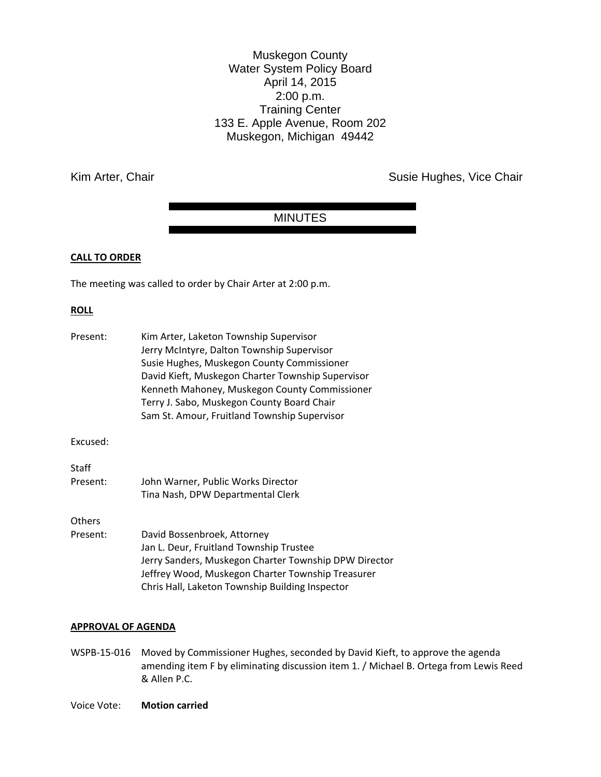Muskegon County Water System Policy Board April 14, 2015 2:00 p.m. Training Center 133 E. Apple Avenue, Room 202 Muskegon, Michigan 49442

Kim Arter, Chair **Susie Hughes, Vice Chair** Susie Hughes, Vice Chair

# MINUTES

# **CALL TO ORDER**

The meeting was called to order by Chair Arter at 2:00 p.m.

## **ROLL**

| Present:                  | Kim Arter, Laketon Township Supervisor<br>Jerry McIntyre, Dalton Township Supervisor<br>Susie Hughes, Muskegon County Commissioner<br>David Kieft, Muskegon Charter Township Supervisor<br>Kenneth Mahoney, Muskegon County Commissioner<br>Terry J. Sabo, Muskegon County Board Chair<br>Sam St. Amour, Fruitland Township Supervisor |
|---------------------------|----------------------------------------------------------------------------------------------------------------------------------------------------------------------------------------------------------------------------------------------------------------------------------------------------------------------------------------|
| Excused:                  |                                                                                                                                                                                                                                                                                                                                        |
| Staff<br>Present:         | John Warner, Public Works Director<br>Tina Nash, DPW Departmental Clerk                                                                                                                                                                                                                                                                |
| <b>Others</b><br>Present: | David Bossenbroek, Attorney<br>Jan L. Deur, Fruitland Township Trustee<br>Jerry Sanders, Muskegon Charter Township DPW Director<br>Jeffrey Wood, Muskegon Charter Township Treasurer<br>Chris Hall, Laketon Township Building Inspector                                                                                                |

## **APPROVAL OF AGENDA**

- WSPB-15-016 Moved by Commissioner Hughes, seconded by David Kieft, to approve the agenda amending item F by eliminating discussion item 1. / Michael B. Ortega from Lewis Reed & Allen P.C.
- Voice Vote: **Motion carried**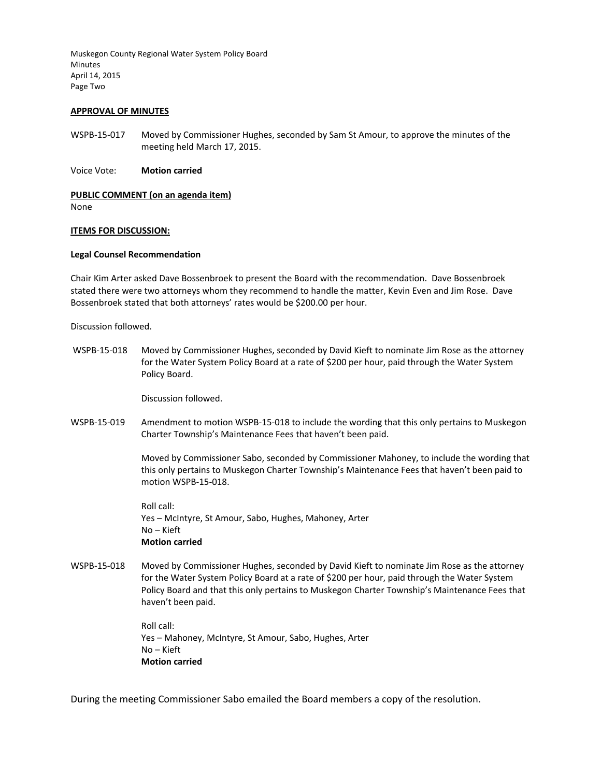Muskegon County Regional Water System Policy Board Minutes April 14, 2015 Page Two

#### **APPROVAL OF MINUTES**

WSPB-15-017 Moved by Commissioner Hughes, seconded by Sam St Amour, to approve the minutes of the meeting held March 17, 2015.

Voice Vote: **Motion carried** 

#### **PUBLIC COMMENT (on an agenda item)**

None

#### **ITEMS FOR DISCUSSION:**

#### **Legal Counsel Recommendation**

Chair Kim Arter asked Dave Bossenbroek to present the Board with the recommendation. Dave Bossenbroek stated there were two attorneys whom they recommend to handle the matter, Kevin Even and Jim Rose. Dave Bossenbroek stated that both attorneys' rates would be \$200.00 per hour.

Discussion followed.

WSPB-15-018 Moved by Commissioner Hughes, seconded by David Kieft to nominate Jim Rose as the attorney for the Water System Policy Board at a rate of \$200 per hour, paid through the Water System Policy Board.

Discussion followed.

WSPB-15-019 Amendment to motion WSPB-15-018 to include the wording that this only pertains to Muskegon Charter Township's Maintenance Fees that haven't been paid.

> Moved by Commissioner Sabo, seconded by Commissioner Mahoney, to include the wording that this only pertains to Muskegon Charter Township's Maintenance Fees that haven't been paid to motion WSPB-15-018.

Roll call: Yes – McIntyre, St Amour, Sabo, Hughes, Mahoney, Arter No – Kieft **Motion carried** 

WSPB-15-018 Moved by Commissioner Hughes, seconded by David Kieft to nominate Jim Rose as the attorney for the Water System Policy Board at a rate of \$200 per hour, paid through the Water System Policy Board and that this only pertains to Muskegon Charter Township's Maintenance Fees that haven't been paid.

> Roll call: Yes – Mahoney, McIntyre, St Amour, Sabo, Hughes, Arter No – Kieft **Motion carried**

During the meeting Commissioner Sabo emailed the Board members a copy of the resolution.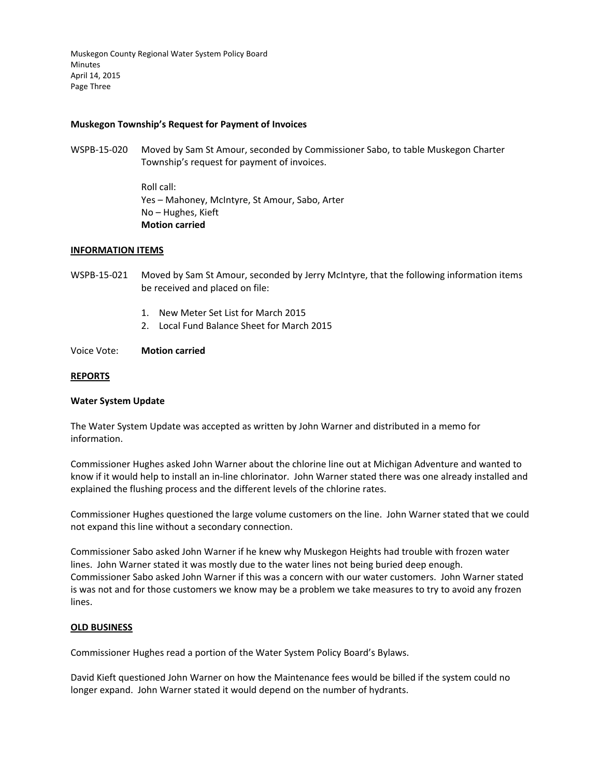Muskegon County Regional Water System Policy Board Minutes April 14, 2015 Page Three

## **Muskegon Township's Request for Payment of Invoices**

WSPB-15-020 Moved by Sam St Amour, seconded by Commissioner Sabo, to table Muskegon Charter Township's request for payment of invoices.

> Roll call: Yes – Mahoney, McIntyre, St Amour, Sabo, Arter No – Hughes, Kieft **Motion carried**

#### **INFORMATION ITEMS**

- WSPB-15-021 Moved by Sam St Amour, seconded by Jerry McIntyre, that the following information items be received and placed on file:
	- 1. New Meter Set List for March 2015
	- 2. Local Fund Balance Sheet for March 2015
- Voice Vote: **Motion carried**

#### **REPORTS**

#### **Water System Update**

The Water System Update was accepted as written by John Warner and distributed in a memo for information.

Commissioner Hughes asked John Warner about the chlorine line out at Michigan Adventure and wanted to know if it would help to install an in-line chlorinator. John Warner stated there was one already installed and explained the flushing process and the different levels of the chlorine rates.

Commissioner Hughes questioned the large volume customers on the line. John Warner stated that we could not expand this line without a secondary connection.

Commissioner Sabo asked John Warner if he knew why Muskegon Heights had trouble with frozen water lines. John Warner stated it was mostly due to the water lines not being buried deep enough. Commissioner Sabo asked John Warner if this was a concern with our water customers. John Warner stated is was not and for those customers we know may be a problem we take measures to try to avoid any frozen lines.

## **OLD BUSINESS**

Commissioner Hughes read a portion of the Water System Policy Board's Bylaws.

David Kieft questioned John Warner on how the Maintenance fees would be billed if the system could no longer expand. John Warner stated it would depend on the number of hydrants.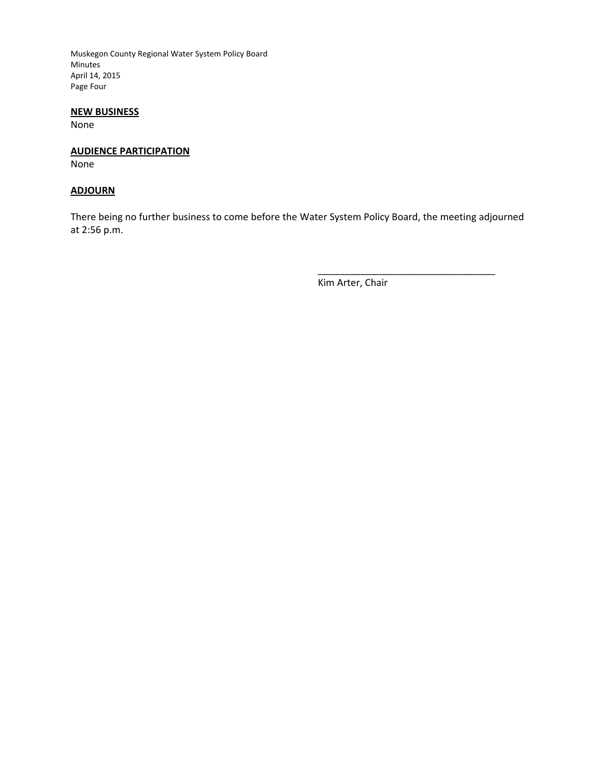Muskegon County Regional Water System Policy Board Minutes April 14, 2015 Page Four

# **NEW BUSINESS**

None

# **AUDIENCE PARTICIPATION**

None

# **ADJOURN**

There being no further business to come before the Water System Policy Board, the meeting adjourned at 2:56 p.m.

Kim Arter, Chair

\_\_\_\_\_\_\_\_\_\_\_\_\_\_\_\_\_\_\_\_\_\_\_\_\_\_\_\_\_\_\_\_\_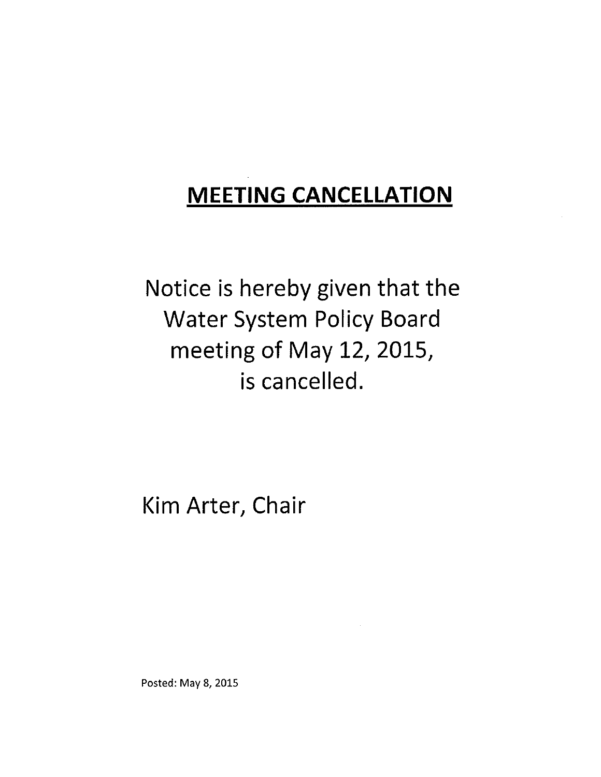Notice is hereby given that the **Water System Policy Board** meeting of May 12, 2015, is cancelled.

Kim Arter, Chair

Posted: May 8, 2015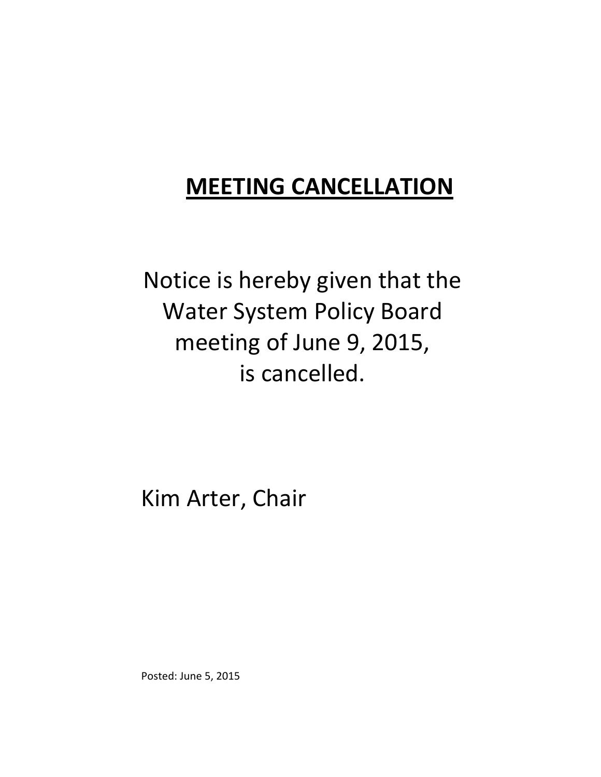Notice is hereby given that the Water System Policy Board meeting of June 9, 2015, is cancelled.

Kim Arter, Chair

Posted: June 5, 2015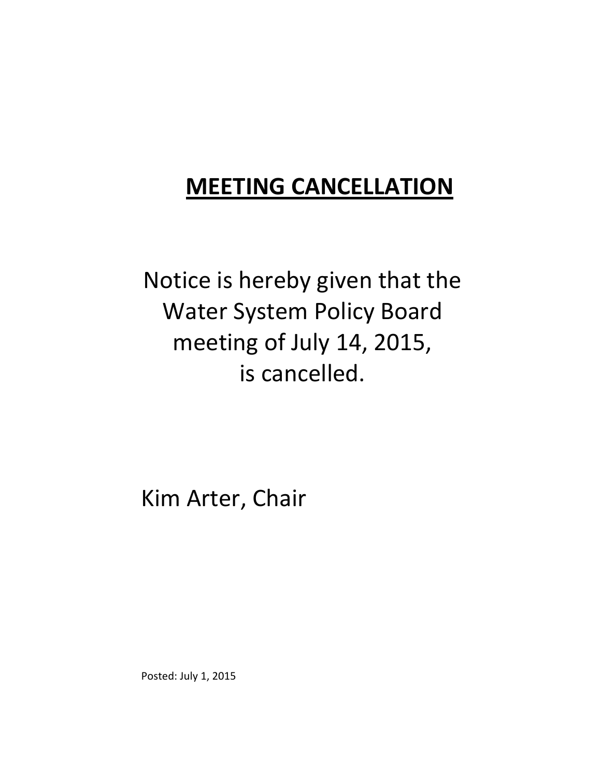Notice is hereby given that the Water System Policy Board meeting of July 14, 2015, is cancelled.

Kim Arter, Chair

Posted: July 1, 2015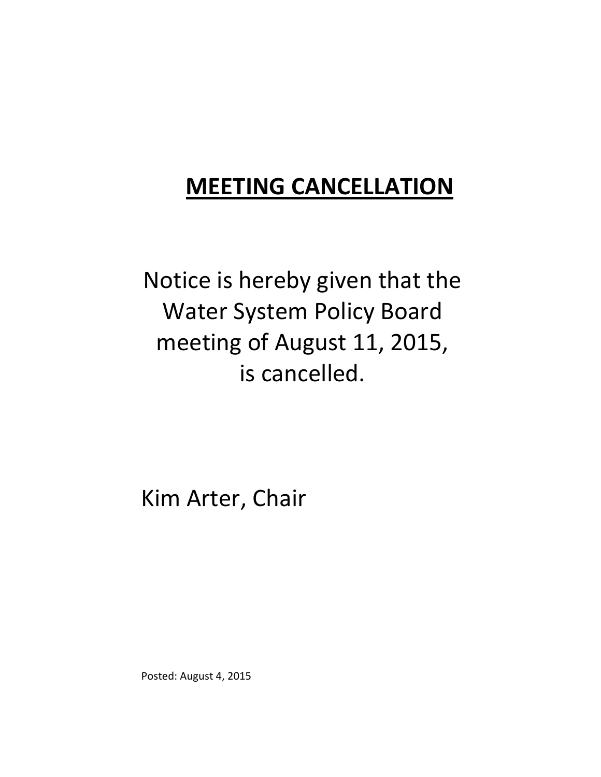Notice is hereby given that the Water System Policy Board meeting of August 11, 2015, is cancelled.

Kim Arter, Chair

Posted: August 4, 2015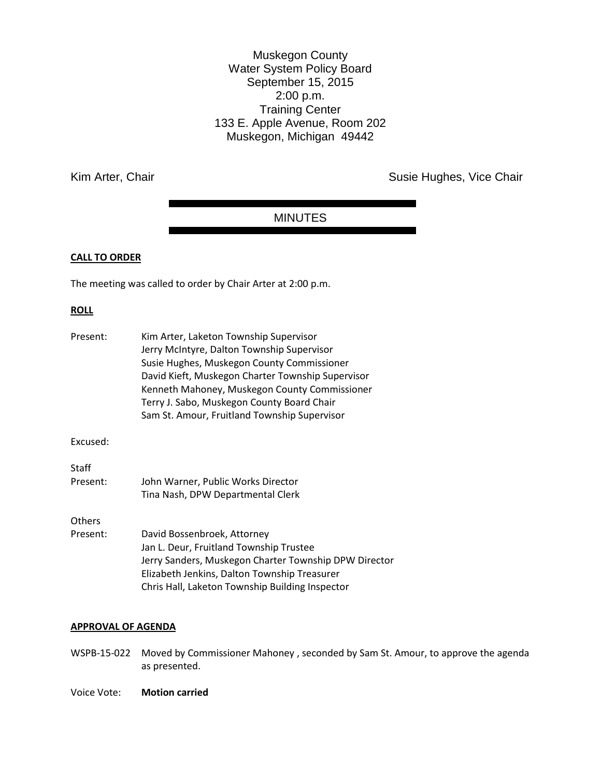Muskegon County Water System Policy Board September 15, 2015 2:00 p.m. Training Center 133 E. Apple Avenue, Room 202 Muskegon, Michigan 49442

Kim Arter, Chair **Susie Hughes, Vice Chair** Susie Hughes, Vice Chair

# MINUTES

# **CALL TO ORDER**

The meeting was called to order by Chair Arter at 2:00 p.m.

# **ROLL**

| Present:     | Kim Arter, Laketon Township Supervisor<br>Jerry McIntyre, Dalton Township Supervisor<br>Susie Hughes, Muskegon County Commissioner<br>David Kieft, Muskegon Charter Township Supervisor<br>Kenneth Mahoney, Muskegon County Commissioner<br>Terry J. Sabo, Muskegon County Board Chair<br>Sam St. Amour, Fruitland Township Supervisor |
|--------------|----------------------------------------------------------------------------------------------------------------------------------------------------------------------------------------------------------------------------------------------------------------------------------------------------------------------------------------|
| Excused:     |                                                                                                                                                                                                                                                                                                                                        |
| <b>Staff</b> |                                                                                                                                                                                                                                                                                                                                        |
| Present:     | John Warner, Public Works Director                                                                                                                                                                                                                                                                                                     |
|              | Tina Nash, DPW Departmental Clerk                                                                                                                                                                                                                                                                                                      |
| Others       |                                                                                                                                                                                                                                                                                                                                        |
| Present:     | David Bossenbroek, Attorney                                                                                                                                                                                                                                                                                                            |
|              | Jan L. Deur, Fruitland Township Trustee                                                                                                                                                                                                                                                                                                |
|              | Jerry Sanders, Muskegon Charter Township DPW Director                                                                                                                                                                                                                                                                                  |
|              | Elizabeth Jenkins, Dalton Township Treasurer                                                                                                                                                                                                                                                                                           |
|              | Chris Hall, Laketon Township Building Inspector                                                                                                                                                                                                                                                                                        |
|              |                                                                                                                                                                                                                                                                                                                                        |

# **APPROVAL OF AGENDA**

WSPB-15-022 Moved by Commissioner Mahoney , seconded by Sam St. Amour, to approve the agenda as presented.

Voice Vote: **Motion carried**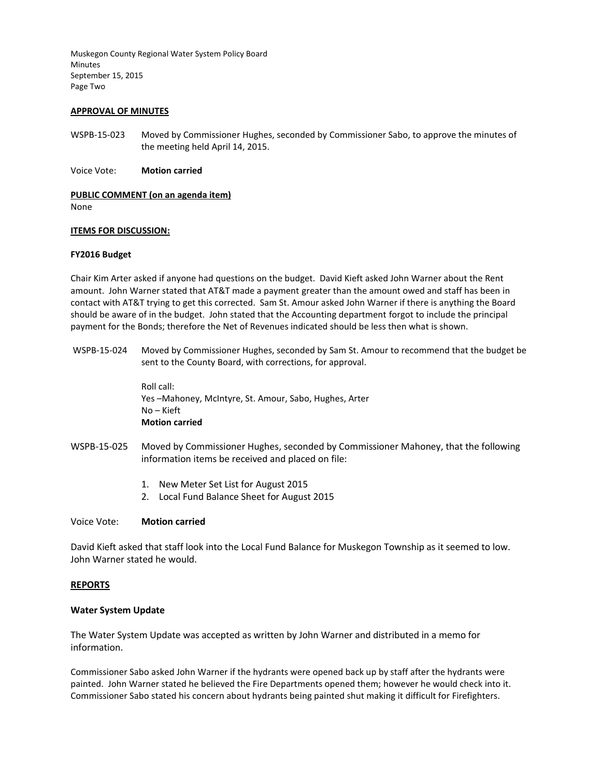Muskegon County Regional Water System Policy Board Minutes September 15, 2015 Page Two

#### **APPROVAL OF MINUTES**

- WSPB-15-023 Moved by Commissioner Hughes, seconded by Commissioner Sabo, to approve the minutes of the meeting held April 14, 2015.
- Voice Vote: **Motion carried**

#### **PUBLIC COMMENT (on an agenda item)**

None

#### **ITEMS FOR DISCUSSION:**

#### **FY2016 Budget**

Chair Kim Arter asked if anyone had questions on the budget. David Kieft asked John Warner about the Rent amount. John Warner stated that AT&T made a payment greater than the amount owed and staff has been in contact with AT&T trying to get this corrected. Sam St. Amour asked John Warner if there is anything the Board should be aware of in the budget. John stated that the Accounting department forgot to include the principal payment for the Bonds; therefore the Net of Revenues indicated should be less then what is shown.

WSPB-15-024 Moved by Commissioner Hughes, seconded by Sam St. Amour to recommend that the budget be sent to the County Board, with corrections, for approval.

> Roll call: Yes –Mahoney, McIntyre, St. Amour, Sabo, Hughes, Arter No – Kieft **Motion carried**

- WSPB-15-025 Moved by Commissioner Hughes, seconded by Commissioner Mahoney, that the following information items be received and placed on file:
	- 1. New Meter Set List for August 2015
	- 2. Local Fund Balance Sheet for August 2015

#### Voice Vote: **Motion carried**

David Kieft asked that staff look into the Local Fund Balance for Muskegon Township as it seemed to low. John Warner stated he would.

#### **REPORTS**

#### **Water System Update**

The Water System Update was accepted as written by John Warner and distributed in a memo for information.

Commissioner Sabo asked John Warner if the hydrants were opened back up by staff after the hydrants were painted. John Warner stated he believed the Fire Departments opened them; however he would check into it. Commissioner Sabo stated his concern about hydrants being painted shut making it difficult for Firefighters.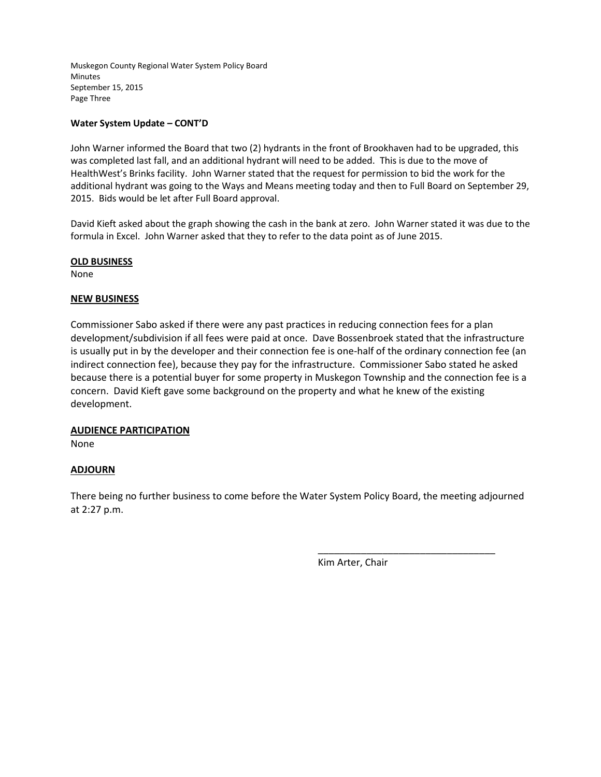Muskegon County Regional Water System Policy Board Minutes September 15, 2015 Page Three

# **Water System Update – CONT'D**

John Warner informed the Board that two (2) hydrants in the front of Brookhaven had to be upgraded, this was completed last fall, and an additional hydrant will need to be added. This is due to the move of HealthWest's Brinks facility. John Warner stated that the request for permission to bid the work for the additional hydrant was going to the Ways and Means meeting today and then to Full Board on September 29, 2015. Bids would be let after Full Board approval.

David Kieft asked about the graph showing the cash in the bank at zero. John Warner stated it was due to the formula in Excel. John Warner asked that they to refer to the data point as of June 2015.

# **OLD BUSINESS**

None

# **NEW BUSINESS**

Commissioner Sabo asked if there were any past practices in reducing connection fees for a plan development/subdivision if all fees were paid at once. Dave Bossenbroek stated that the infrastructure is usually put in by the developer and their connection fee is one-half of the ordinary connection fee (an indirect connection fee), because they pay for the infrastructure. Commissioner Sabo stated he asked because there is a potential buyer for some property in Muskegon Township and the connection fee is a concern. David Kieft gave some background on the property and what he knew of the existing development.

# **AUDIENCE PARTICIPATION**

None

# **ADJOURN**

There being no further business to come before the Water System Policy Board, the meeting adjourned at 2:27 p.m.

Kim Arter, Chair

\_\_\_\_\_\_\_\_\_\_\_\_\_\_\_\_\_\_\_\_\_\_\_\_\_\_\_\_\_\_\_\_\_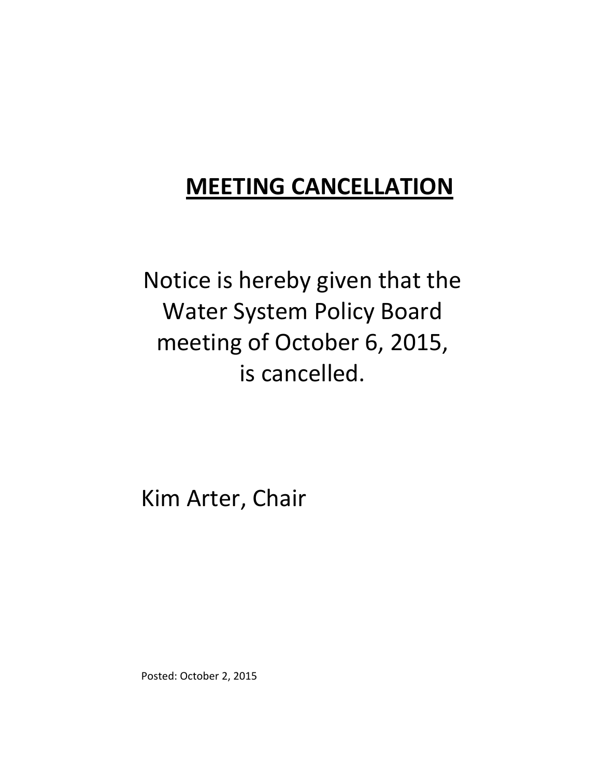Notice is hereby given that the Water System Policy Board meeting of October 6, 2015, is cancelled.

Kim Arter, Chair

Posted: October 2, 2015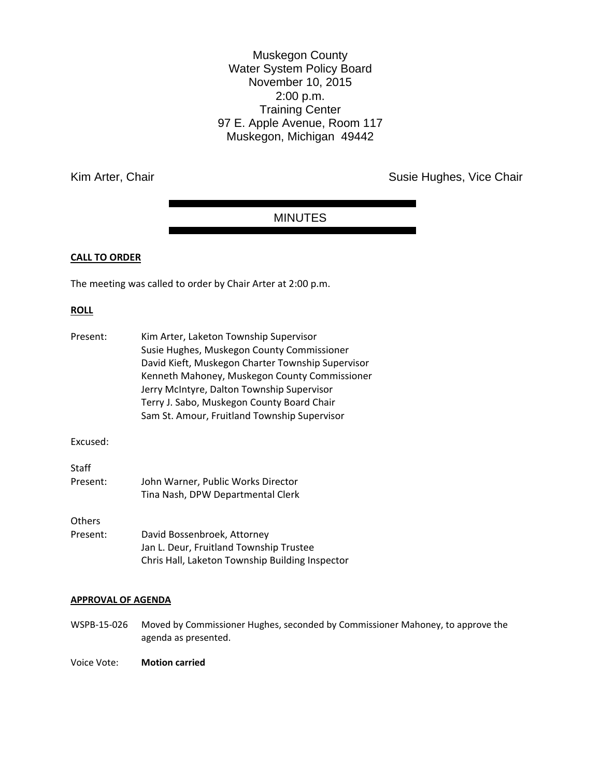Muskegon County Water System Policy Board November 10, 2015 2:00 p.m. Training Center 97 E. Apple Avenue, Room 117 Muskegon, Michigan 49442

Kim Arter, Chair **Susie Hughes, Vice Chair** Susie Hughes, Vice Chair

# MINUTES

# **CALL TO ORDER**

The meeting was called to order by Chair Arter at 2:00 p.m.

## **ROLL**

| Present:                  | Kim Arter, Laketon Township Supervisor<br>Susie Hughes, Muskegon County Commissioner<br>David Kieft, Muskegon Charter Township Supervisor<br>Kenneth Mahoney, Muskegon County Commissioner<br>Jerry McIntyre, Dalton Township Supervisor<br>Terry J. Sabo, Muskegon County Board Chair<br>Sam St. Amour, Fruitland Township Supervisor |
|---------------------------|----------------------------------------------------------------------------------------------------------------------------------------------------------------------------------------------------------------------------------------------------------------------------------------------------------------------------------------|
| Excused:                  |                                                                                                                                                                                                                                                                                                                                        |
| <b>Staff</b><br>Present:  | John Warner, Public Works Director<br>Tina Nash, DPW Departmental Clerk                                                                                                                                                                                                                                                                |
| <b>Others</b><br>Present: | David Bossenbroek, Attorney<br>Jan L. Deur, Fruitland Township Trustee<br>Chris Hall, Laketon Township Building Inspector                                                                                                                                                                                                              |

# **APPROVAL OF AGENDA**

WSPB-15-026 Moved by Commissioner Hughes, seconded by Commissioner Mahoney, to approve the agenda as presented.

Voice Vote: **Motion carried**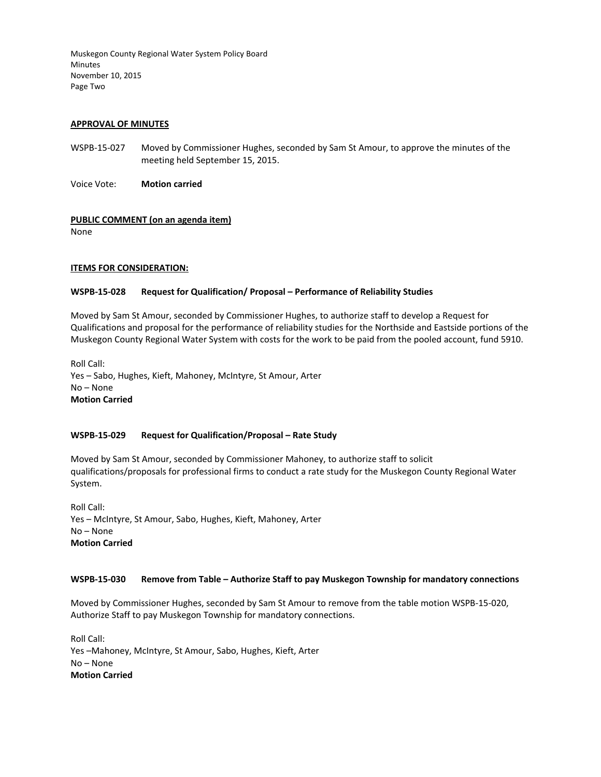Muskegon County Regional Water System Policy Board Minutes November 10, 2015 Page Two

#### **APPROVAL OF MINUTES**

WSPB-15-027 Moved by Commissioner Hughes, seconded by Sam St Amour, to approve the minutes of the meeting held September 15, 2015.

Voice Vote: **Motion carried** 

## **PUBLIC COMMENT (on an agenda item)**

None

## **ITEMS FOR CONSIDERATION:**

## **WSPB-15-028 Request for Qualification/ Proposal – Performance of Reliability Studies**

Moved by Sam St Amour, seconded by Commissioner Hughes, to authorize staff to develop a Request for Qualifications and proposal for the performance of reliability studies for the Northside and Eastside portions of the Muskegon County Regional Water System with costs for the work to be paid from the pooled account, fund 5910.

Roll Call: Yes – Sabo, Hughes, Kieft, Mahoney, McIntyre, St Amour, Arter No – None **Motion Carried** 

#### **WSPB-15-029 Request for Qualification/Proposal – Rate Study**

Moved by Sam St Amour, seconded by Commissioner Mahoney, to authorize staff to solicit qualifications/proposals for professional firms to conduct a rate study for the Muskegon County Regional Water System.

Roll Call: Yes – McIntyre, St Amour, Sabo, Hughes, Kieft, Mahoney, Arter No – None **Motion Carried** 

#### **WSPB-15-030 Remove from Table – Authorize Staff to pay Muskegon Township for mandatory connections**

Moved by Commissioner Hughes, seconded by Sam St Amour to remove from the table motion WSPB-15-020, Authorize Staff to pay Muskegon Township for mandatory connections.

Roll Call: Yes –Mahoney, McIntyre, St Amour, Sabo, Hughes, Kieft, Arter No – None **Motion Carried**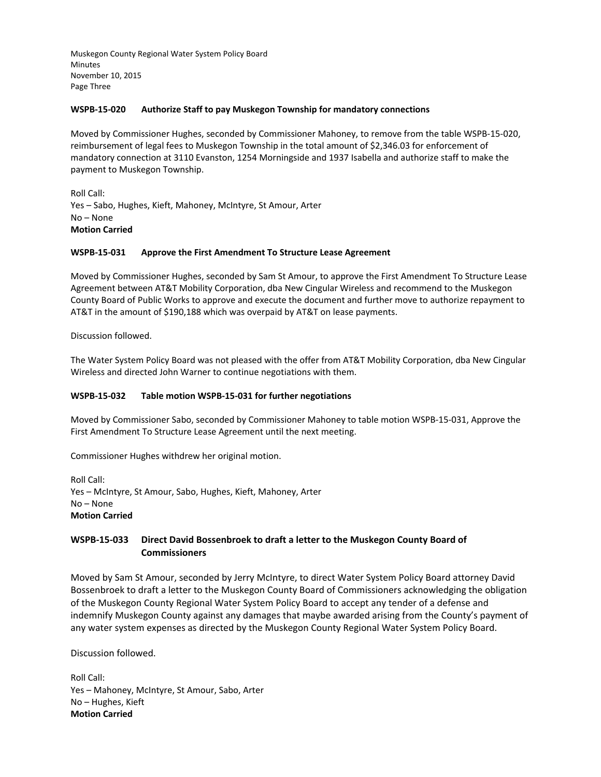Muskegon County Regional Water System Policy Board **Minutes** November 10, 2015 Page Three

#### **WSPB-15-020 Authorize Staff to pay Muskegon Township for mandatory connections**

Moved by Commissioner Hughes, seconded by Commissioner Mahoney, to remove from the table WSPB-15-020, reimbursement of legal fees to Muskegon Township in the total amount of \$2,346.03 for enforcement of mandatory connection at 3110 Evanston, 1254 Morningside and 1937 Isabella and authorize staff to make the payment to Muskegon Township.

Roll Call: Yes – Sabo, Hughes, Kieft, Mahoney, McIntyre, St Amour, Arter No – None **Motion Carried** 

#### **WSPB-15-031 Approve the First Amendment To Structure Lease Agreement**

Moved by Commissioner Hughes, seconded by Sam St Amour, to approve the First Amendment To Structure Lease Agreement between AT&T Mobility Corporation, dba New Cingular Wireless and recommend to the Muskegon County Board of Public Works to approve and execute the document and further move to authorize repayment to AT&T in the amount of \$190,188 which was overpaid by AT&T on lease payments.

Discussion followed.

The Water System Policy Board was not pleased with the offer from AT&T Mobility Corporation, dba New Cingular Wireless and directed John Warner to continue negotiations with them.

# **WSPB-15-032 Table motion WSPB-15-031 for further negotiations**

Moved by Commissioner Sabo, seconded by Commissioner Mahoney to table motion WSPB-15-031, Approve the First Amendment To Structure Lease Agreement until the next meeting.

Commissioner Hughes withdrew her original motion.

Roll Call: Yes – McIntyre, St Amour, Sabo, Hughes, Kieft, Mahoney, Arter No – None **Motion Carried** 

# **WSPB-15-033 Direct David Bossenbroek to draft a letter to the Muskegon County Board of Commissioners**

Moved by Sam St Amour, seconded by Jerry McIntyre, to direct Water System Policy Board attorney David Bossenbroek to draft a letter to the Muskegon County Board of Commissioners acknowledging the obligation of the Muskegon County Regional Water System Policy Board to accept any tender of a defense and indemnify Muskegon County against any damages that maybe awarded arising from the County's payment of any water system expenses as directed by the Muskegon County Regional Water System Policy Board.

Discussion followed.

Roll Call: Yes – Mahoney, McIntyre, St Amour, Sabo, Arter No – Hughes, Kieft **Motion Carried**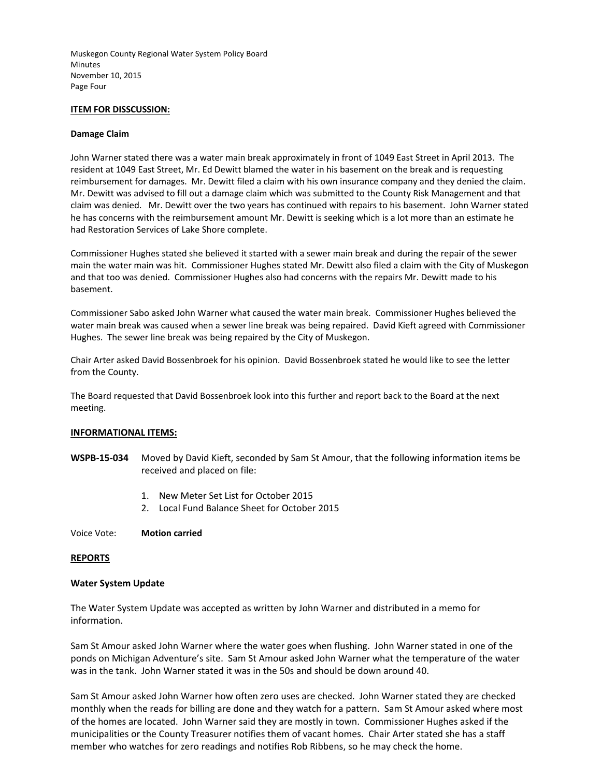Muskegon County Regional Water System Policy Board **Minutes** November 10, 2015 Page Four

#### **ITEM FOR DISSCUSSION:**

#### **Damage Claim**

John Warner stated there was a water main break approximately in front of 1049 East Street in April 2013. The resident at 1049 East Street, Mr. Ed Dewitt blamed the water in his basement on the break and is requesting reimbursement for damages. Mr. Dewitt filed a claim with his own insurance company and they denied the claim. Mr. Dewitt was advised to fill out a damage claim which was submitted to the County Risk Management and that claim was denied. Mr. Dewitt over the two years has continued with repairs to his basement. John Warner stated he has concerns with the reimbursement amount Mr. Dewitt is seeking which is a lot more than an estimate he had Restoration Services of Lake Shore complete.

Commissioner Hughes stated she believed it started with a sewer main break and during the repair of the sewer main the water main was hit. Commissioner Hughes stated Mr. Dewitt also filed a claim with the City of Muskegon and that too was denied. Commissioner Hughes also had concerns with the repairs Mr. Dewitt made to his basement.

Commissioner Sabo asked John Warner what caused the water main break. Commissioner Hughes believed the water main break was caused when a sewer line break was being repaired. David Kieft agreed with Commissioner Hughes. The sewer line break was being repaired by the City of Muskegon.

Chair Arter asked David Bossenbroek for his opinion. David Bossenbroek stated he would like to see the letter from the County.

The Board requested that David Bossenbroek look into this further and report back to the Board at the next meeting.

#### **INFORMATIONAL ITEMS:**

- **WSPB-15-034** Moved by David Kieft, seconded by Sam St Amour, that the following information items be received and placed on file:
	- 1. New Meter Set List for October 2015
	- 2. Local Fund Balance Sheet for October 2015
- Voice Vote: **Motion carried**

#### **REPORTS**

#### **Water System Update**

The Water System Update was accepted as written by John Warner and distributed in a memo for information.

Sam St Amour asked John Warner where the water goes when flushing. John Warner stated in one of the ponds on Michigan Adventure's site. Sam St Amour asked John Warner what the temperature of the water was in the tank. John Warner stated it was in the 50s and should be down around 40.

Sam St Amour asked John Warner how often zero uses are checked. John Warner stated they are checked monthly when the reads for billing are done and they watch for a pattern. Sam St Amour asked where most of the homes are located. John Warner said they are mostly in town. Commissioner Hughes asked if the municipalities or the County Treasurer notifies them of vacant homes. Chair Arter stated she has a staff member who watches for zero readings and notifies Rob Ribbens, so he may check the home.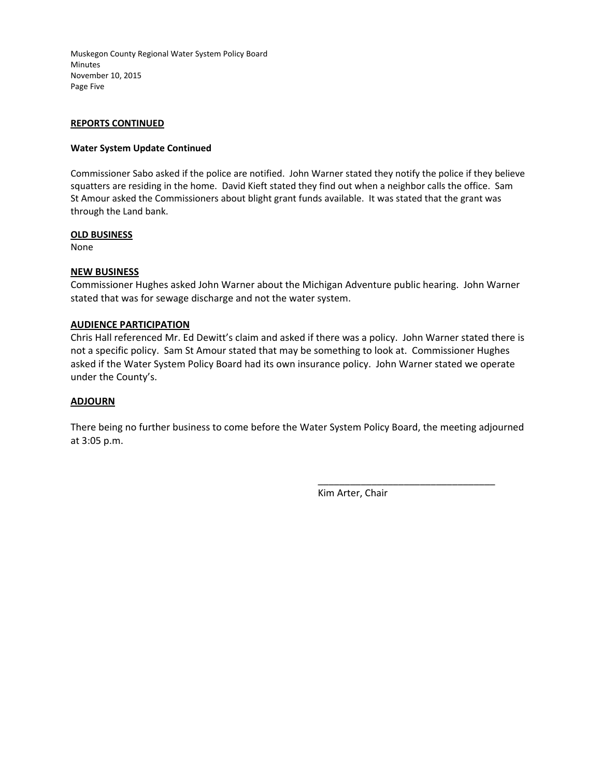Muskegon County Regional Water System Policy Board Minutes November 10, 2015 Page Five

# **REPORTS CONTINUED**

# **Water System Update Continued**

Commissioner Sabo asked if the police are notified. John Warner stated they notify the police if they believe squatters are residing in the home. David Kieft stated they find out when a neighbor calls the office. Sam St Amour asked the Commissioners about blight grant funds available. It was stated that the grant was through the Land bank.

# **OLD BUSINESS**

None

# **NEW BUSINESS**

Commissioner Hughes asked John Warner about the Michigan Adventure public hearing. John Warner stated that was for sewage discharge and not the water system.

# **AUDIENCE PARTICIPATION**

Chris Hall referenced Mr. Ed Dewitt's claim and asked if there was a policy. John Warner stated there is not a specific policy. Sam St Amour stated that may be something to look at. Commissioner Hughes asked if the Water System Policy Board had its own insurance policy. John Warner stated we operate under the County's.

# **ADJOURN**

There being no further business to come before the Water System Policy Board, the meeting adjourned at 3:05 p.m.

Kim Arter, Chair

\_\_\_\_\_\_\_\_\_\_\_\_\_\_\_\_\_\_\_\_\_\_\_\_\_\_\_\_\_\_\_\_\_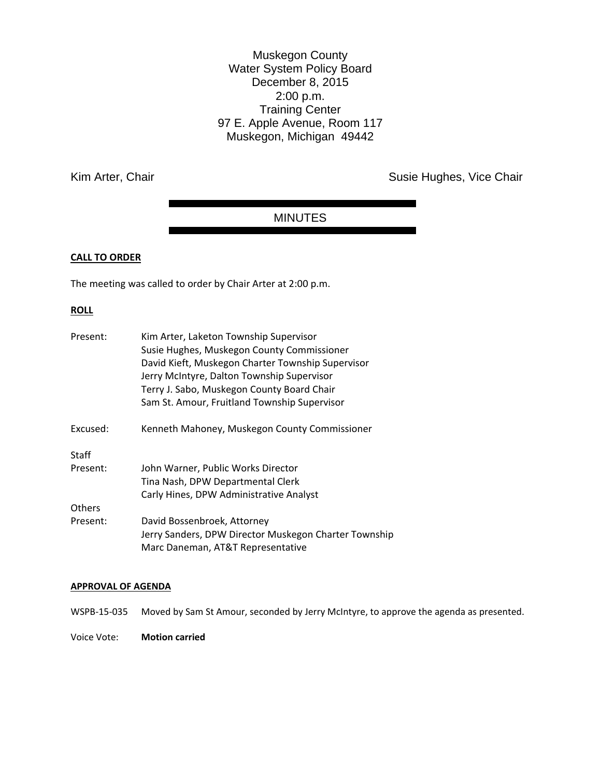Muskegon County Water System Policy Board December 8, 2015 2:00 p.m. Training Center 97 E. Apple Avenue, Room 117 Muskegon, Michigan 49442

Kim Arter, Chair **Susie Hughes, Vice Chair** Susie Hughes, Vice Chair

# MINUTES

# **CALL TO ORDER**

The meeting was called to order by Chair Arter at 2:00 p.m.

## **ROLL**

| Present:      | Kim Arter, Laketon Township Supervisor                |
|---------------|-------------------------------------------------------|
|               | Susie Hughes, Muskegon County Commissioner            |
|               | David Kieft, Muskegon Charter Township Supervisor     |
|               | Jerry McIntyre, Dalton Township Supervisor            |
|               | Terry J. Sabo, Muskegon County Board Chair            |
|               | Sam St. Amour, Fruitland Township Supervisor          |
| Excused:      | Kenneth Mahoney, Muskegon County Commissioner         |
| Staff         |                                                       |
| Present:      | John Warner, Public Works Director                    |
|               | Tina Nash, DPW Departmental Clerk                     |
|               | Carly Hines, DPW Administrative Analyst               |
| <b>Others</b> |                                                       |
| Present:      | David Bossenbroek, Attorney                           |
|               | Jerry Sanders, DPW Director Muskegon Charter Township |
|               | Marc Daneman, AT&T Representative                     |

# **APPROVAL OF AGENDA**

WSPB-15-035 Moved by Sam St Amour, seconded by Jerry McIntyre, to approve the agenda as presented.

Voice Vote: **Motion carried**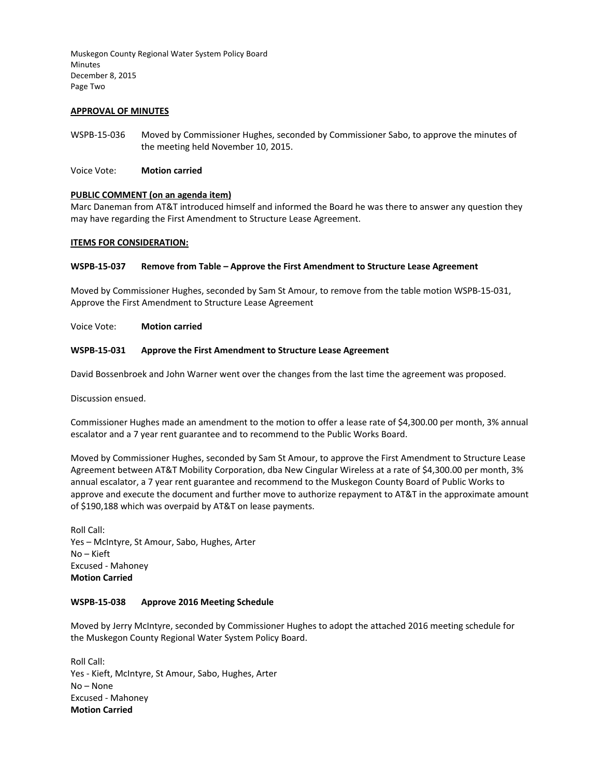Muskegon County Regional Water System Policy Board Minutes December 8, 2015 Page Two

#### **APPROVAL OF MINUTES**

- WSPB-15-036 Moved by Commissioner Hughes, seconded by Commissioner Sabo, to approve the minutes of the meeting held November 10, 2015.
- Voice Vote: **Motion carried**

## **PUBLIC COMMENT (on an agenda item)**

Marc Daneman from AT&T introduced himself and informed the Board he was there to answer any question they may have regarding the First Amendment to Structure Lease Agreement.

#### **ITEMS FOR CONSIDERATION:**

#### **WSPB-15-037 Remove from Table – Approve the First Amendment to Structure Lease Agreement**

Moved by Commissioner Hughes, seconded by Sam St Amour, to remove from the table motion WSPB-15-031, Approve the First Amendment to Structure Lease Agreement

Voice Vote: **Motion carried** 

## **WSPB-15-031 Approve the First Amendment to Structure Lease Agreement**

David Bossenbroek and John Warner went over the changes from the last time the agreement was proposed.

Discussion ensued.

Commissioner Hughes made an amendment to the motion to offer a lease rate of \$4,300.00 per month, 3% annual escalator and a 7 year rent guarantee and to recommend to the Public Works Board.

Moved by Commissioner Hughes, seconded by Sam St Amour, to approve the First Amendment to Structure Lease Agreement between AT&T Mobility Corporation, dba New Cingular Wireless at a rate of \$4,300.00 per month, 3% annual escalator, a 7 year rent guarantee and recommend to the Muskegon County Board of Public Works to approve and execute the document and further move to authorize repayment to AT&T in the approximate amount of \$190,188 which was overpaid by AT&T on lease payments.

Roll Call: Yes – McIntyre, St Amour, Sabo, Hughes, Arter No – Kieft Excused - Mahoney **Motion Carried** 

## **WSPB-15-038 Approve 2016 Meeting Schedule**

Moved by Jerry McIntyre, seconded by Commissioner Hughes to adopt the attached 2016 meeting schedule for the Muskegon County Regional Water System Policy Board.

Roll Call: Yes - Kieft, McIntyre, St Amour, Sabo, Hughes, Arter No – None Excused - Mahoney **Motion Carried**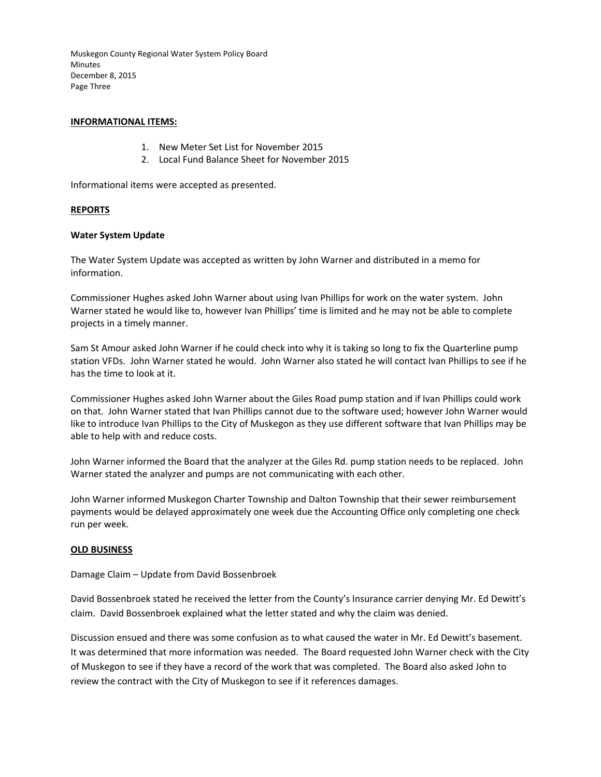Muskegon County Regional Water System Policy Board **Minutes** December 8, 2015 Page Three

# **INFORMATIONAL ITEMS:**

- 1. New Meter Set List for November 2015
- 2. Local Fund Balance Sheet for November 2015

Informational items were accepted as presented.

# **REPORTS**

## **Water System Update**

The Water System Update was accepted as written by John Warner and distributed in a memo for information.

Commissioner Hughes asked John Warner about using Ivan Phillips for work on the water system. John Warner stated he would like to, however Ivan Phillips' time is limited and he may not be able to complete projects in a timely manner.

Sam St Amour asked John Warner if he could check into why it is taking so long to fix the Quarterline pump station VFDs. John Warner stated he would. John Warner also stated he will contact Ivan Phillips to see if he has the time to look at it.

Commissioner Hughes asked John Warner about the Giles Road pump station and if Ivan Phillips could work on that. John Warner stated that Ivan Phillips cannot due to the software used; however John Warner would like to introduce Ivan Phillips to the City of Muskegon as they use different software that Ivan Phillips may be able to help with and reduce costs.

John Warner informed the Board that the analyzer at the Giles Rd. pump station needs to be replaced. John Warner stated the analyzer and pumps are not communicating with each other.

John Warner informed Muskegon Charter Township and Dalton Township that their sewer reimbursement payments would be delayed approximately one week due the Accounting Office only completing one check run per week.

# **OLD BUSINESS**

Damage Claim – Update from David Bossenbroek

David Bossenbroek stated he received the letter from the County's Insurance carrier denying Mr. Ed Dewitt's claim. David Bossenbroek explained what the letter stated and why the claim was denied.

Discussion ensued and there was some confusion as to what caused the water in Mr. Ed Dewitt's basement. It was determined that more information was needed. The Board requested John Warner check with the City of Muskegon to see if they have a record of the work that was completed. The Board also asked John to review the contract with the City of Muskegon to see if it references damages.